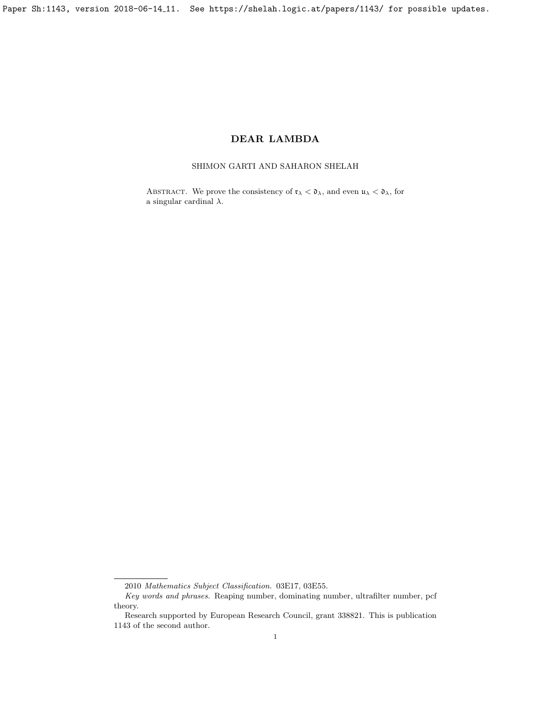Paper Sh:1143, version 2018-06-14<sub>-11</sub>. See https://shelah.logic.at/papers/1143/ for possible updates.

# DEAR LAMBDA

## SHIMON GARTI AND SAHARON SHELAH

ABSTRACT. We prove the consistency of  $\mathfrak{r}_{\lambda} < \mathfrak{d}_{\lambda}$ , and even  $\mathfrak{u}_{\lambda} < \mathfrak{d}_{\lambda}$ , for a singular cardinal  $\lambda$ .

<sup>2010</sup> Mathematics Subject Classification. 03E17, 03E55.

Key words and phrases. Reaping number, dominating number, ultrafilter number, pcf theory.

Research supported by European Research Council, grant 338821. This is publication 1143 of the second author.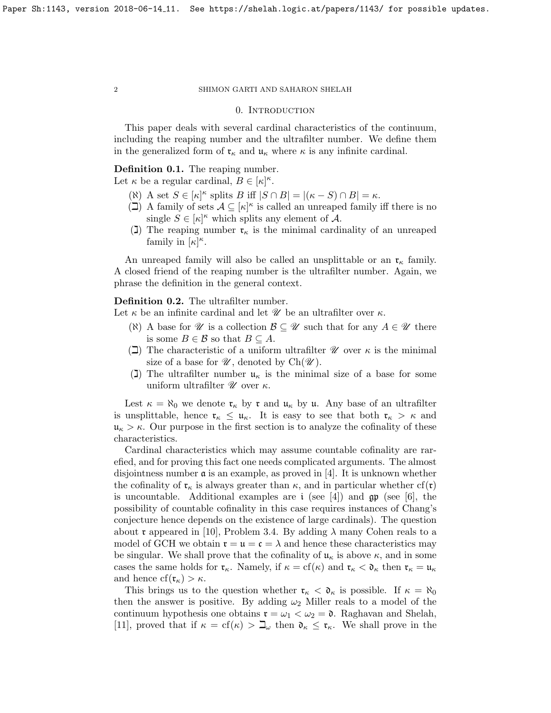## 0. INTRODUCTION

This paper deals with several cardinal characteristics of the continuum, including the reaping number and the ultrafilter number. We define them in the generalized form of  $\mathfrak{r}_{\kappa}$  and  $\mathfrak{u}_{\kappa}$  where  $\kappa$  is any infinite cardinal.

## Definition 0.1. The reaping number.

Let  $\kappa$  be a regular cardinal,  $B \in [\kappa]^{\kappa}$ .

- ( $\aleph$ ) A set  $S \in [\kappa]^{\kappa}$  splits B iff  $|S \cap B| = |(\kappa S) \cap B| = \kappa$ .
- $\overline{I}(1)$  A family of sets  $\mathcal{A} \subseteq [\kappa]^{\kappa}$  is called an unreaped family iff there is no single  $S \in [\kappa]^{\kappa}$  which splits any element of A.
- (I) The reaping number  $\mathfrak{r}_{\kappa}$  is the minimal cardinality of an unreaped family in  $\lbrack \kappa \rbrack^{\kappa}$ .

An unreaped family will also be called an unsplittable or an  $\mathfrak{r}_{\kappa}$  family. A closed friend of the reaping number is the ultrafilter number. Again, we phrase the definition in the general context.

### Definition 0.2. The ultrafilter number.

Let  $\kappa$  be an infinite cardinal and let  $\mathscr U$  be an ultrafilter over  $\kappa$ .

- ( $\aleph$ ) A base for  $\mathscr U$  is a collection  $\mathscr B \subseteq \mathscr U$  such that for any  $A \in \mathscr U$  there is some  $B \in \mathcal{B}$  so that  $B \subseteq A$ .
- ( $\Box$ ) The characteristic of a uniform ultrafilter  $\mathscr U$  over  $\kappa$  is the minimal size of a base for  $\mathscr{U}$ , denoted by  $Ch(\mathscr{U})$ .
- (1) The ultrafilter number  $\mathfrak{u}_{\kappa}$  is the minimal size of a base for some uniform ultrafilter  $\mathscr U$  over  $\kappa$ .

Lest  $\kappa = \aleph_0$  we denote  $\mathfrak{r}_\kappa$  by  $\mathfrak{r}$  and  $\mathfrak{u}_\kappa$  by  $\mathfrak{u}$ . Any base of an ultrafilter is unsplittable, hence  $\mathfrak{r}_{\kappa} \leq \mathfrak{u}_{\kappa}$ . It is easy to see that both  $\mathfrak{r}_{\kappa} > \kappa$  and  $\mathfrak{u}_{\kappa} > \kappa$ . Our purpose in the first section is to analyze the cofinality of these characteristics.

Cardinal characteristics which may assume countable cofinality are rarefied, and for proving this fact one needs complicated arguments. The almost disjointness number  $\alpha$  is an example, as proved in [\[4\]](#page-14-0). It is unknown whether the cofinality of  $\mathfrak{r}_{\kappa}$  is always greater than  $\kappa$ , and in particular whether cf( $\mathfrak{r}$ ) is uncountable. Additional examples are  $i$  (see [\[4\]](#page-14-0)) and  $\mathfrak{gp}$  (see [\[6\]](#page-14-1), the possibility of countable cofinality in this case requires instances of Chang's conjecture hence depends on the existence of large cardinals). The question about r appeared in [\[10\]](#page-14-2), Problem 3.4. By adding  $\lambda$  many Cohen reals to a model of GCH we obtain  $\mathfrak{r} = \mathfrak{u} = \mathfrak{c} = \lambda$  and hence these characteristics may be singular. We shall prove that the cofinality of  $\mathfrak{u}_{\kappa}$  is above  $\kappa$ , and in some cases the same holds for  $\mathfrak{r}_{\kappa}$ . Namely, if  $\kappa = \text{cf}(\kappa)$  and  $\mathfrak{r}_{\kappa} < \mathfrak{d}_{\kappa}$  then  $\mathfrak{r}_{\kappa} = \mathfrak{u}_{\kappa}$ and hence  $cf(\mathfrak{r}_{\kappa}) > \kappa$ .

This brings us to the question whether  $\mathfrak{r}_{\kappa} < \mathfrak{d}_{\kappa}$  is possible. If  $\kappa = \aleph_0$ then the answer is positive. By adding  $\omega_2$  Miller reals to a model of the continuum hypothesis one obtains  $\mathfrak{r} = \omega_1 < \omega_2 = \mathfrak{d}$ . Raghavan and Shelah, [\[11\]](#page-14-3), proved that if  $\kappa = cf(\kappa) > \mathbb{L}$  then  $\mathfrak{d}_{\kappa} \leq \mathfrak{r}_{\kappa}$ . We shall prove in the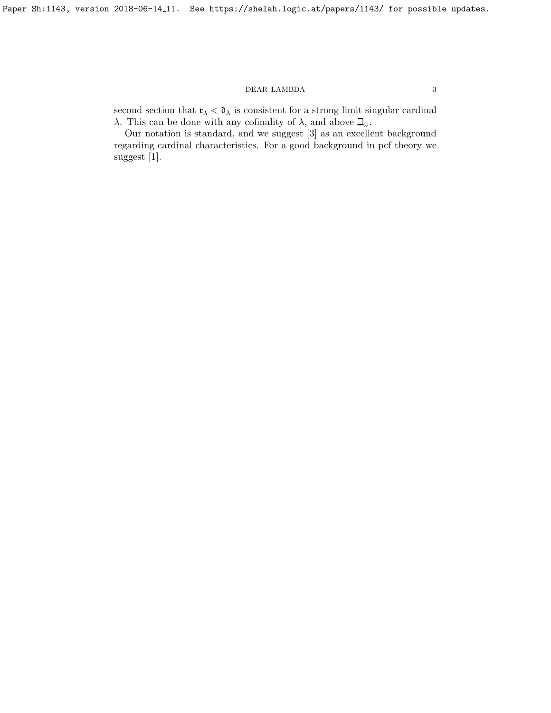second section that  $\mathfrak{r}_{\lambda} < \mathfrak{d}_{\lambda}$  is consistent for a strong limit singular cardinal λ. This can be done with any cofinality of λ, and above  $\mathbb{L}_{\omega}$ .

Our notation is standard, and we suggest [\[3\]](#page-14-4) as an excellent background regarding cardinal characteristics. For a good background in pcf theory we suggest [\[1\]](#page-14-5).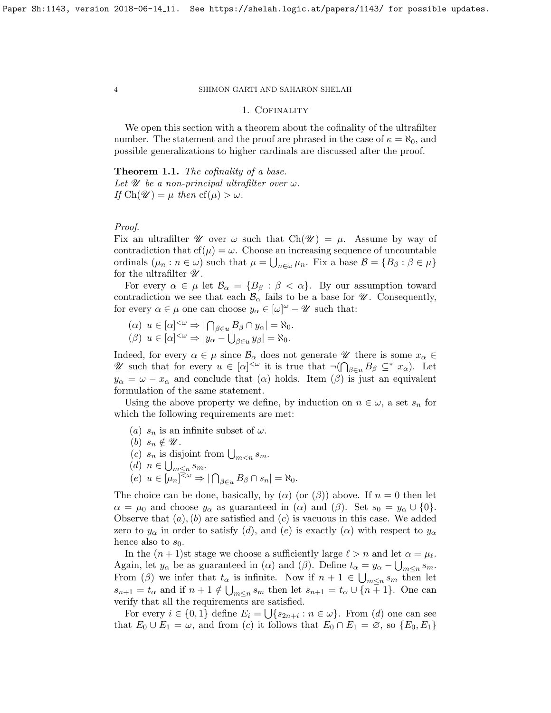## 1. Cofinality

We open this section with a theorem about the cofinality of the ultrafilter number. The statement and the proof are phrased in the case of  $\kappa = \aleph_0$ , and possible generalizations to higher cardinals are discussed after the proof.

## <span id="page-3-0"></span>Theorem 1.1. The cofinality of a base.

Let  $\mathscr U$  be a non-principal ultrafilter over  $\omega$ . If  $\text{Ch}(\mathscr{U}) = \mu$  then  $\text{cf}(\mu) > \omega$ .

## Proof.

Fix an ultrafilter  $\mathscr U$  over  $\omega$  such that  $Ch(\mathscr U) = \mu$ . Assume by way of contradiction that  $cf(\mu) = \omega$ . Choose an increasing sequence of uncountable ordinals  $(\mu_n : n \in \omega)$  such that  $\mu = \bigcup_{n \in \omega} \mu_n$ . Fix a base  $\mathcal{B} = \{B_\beta : \beta \in \mu\}$ for the ultrafilter  $\mathscr U$ .

For every  $\alpha \in \mu$  let  $\mathcal{B}_{\alpha} = \{B_{\beta} : \beta < \alpha\}$ . By our assumption toward contradiction we see that each  $\mathcal{B}_{\alpha}$  fails to be a base for  $\mathcal{U}$ . Consequently, for every  $\alpha \in \mu$  one can choose  $y_{\alpha} \in [\omega]^{\omega} - \mathscr{U}$  such that:

$$
\begin{aligned} (\alpha) \ u \in [\alpha]^{<\omega} \Rightarrow |\bigcap_{\beta \in u} B_{\beta} \cap y_{\alpha}| = \aleph_0, \\ (\beta) \ u \in [\alpha]^{<\omega} \Rightarrow |y_{\alpha} - \bigcup_{\beta \in u} y_{\beta}| = \aleph_0. \end{aligned}
$$

Indeed, for every  $\alpha \in \mu$  since  $\mathcal{B}_{\alpha}$  does not generate  $\mathcal U$  there is some  $x_{\alpha} \in$ U such that for every  $u \in [\alpha]^{<\omega}$  it is true that  $\neg(\bigcap_{\beta \in u} B_{\beta} \subseteq^* x_{\alpha})$ . Let  $y_{\alpha} = \omega - x_{\alpha}$  and conclude that  $(\alpha)$  holds. Item  $(\beta)$  is just an equivalent formulation of the same statement.

Using the above property we define, by induction on  $n \in \omega$ , a set  $s_n$  for which the following requirements are met:

- (a)  $s_n$  is an infinite subset of  $\omega$ .
- (b)  $s_n \notin \mathscr{U}$ .
- (c)  $s_n$  is disjoint from  $\bigcup_{m \leq n} s_m$ .
- (d)  $n \in \bigcup_{m \leq n} s_m$ .
- $(e)$   $u \in [\mu_n]^{\leq \omega} \Rightarrow |\bigcap_{\beta \in u} B_{\beta} \cap s_n| = \aleph_0.$

The choice can be done, basically, by ( $\alpha$ ) (or ( $\beta$ )) above. If  $n = 0$  then let  $\alpha = \mu_0$  and choose  $y_\alpha$  as guaranteed in  $(\alpha)$  and  $(\beta)$ . Set  $s_0 = y_\alpha \cup \{0\}.$ Observe that  $(a)$ ,  $(b)$  are satisfied and  $(c)$  is vacuous in this case. We added zero to  $y_{\alpha}$  in order to satisfy (d), and (e) is exactly ( $\alpha$ ) with respect to  $y_{\alpha}$ hence also to  $s_0$ .

In the  $(n + 1)$ st stage we choose a sufficiently large  $\ell > n$  and let  $\alpha = \mu_{\ell}$ . Again, let  $y_{\alpha}$  be as guaranteed in ( $\alpha$ ) and ( $\beta$ ). Define  $t_{\alpha} = y_{\alpha} - \bigcup_{m \leq n} s_m$ . From ( $\beta$ ) we infer that  $t_{\alpha}$  is infinite. Now if  $n+1 \in \bigcup_{m \leq n} s_m$  then let  $s_{n+1} = t_\alpha$  and if  $n+1 \notin \bigcup_{m \leq n} s_m$  then let  $s_{n+1} = t_\alpha \cup \{n+1\}$ . One can verify that all the requirements are satisfied.

For every  $i \in \{0,1\}$  define  $E_i = \bigcup \{s_{2n+i} : n \in \omega\}$ . From (d) one can see that  $E_0 \cup E_1 = \omega$ , and from (c) it follows that  $E_0 \cap E_1 = \emptyset$ , so  $\{E_0, E_1\}$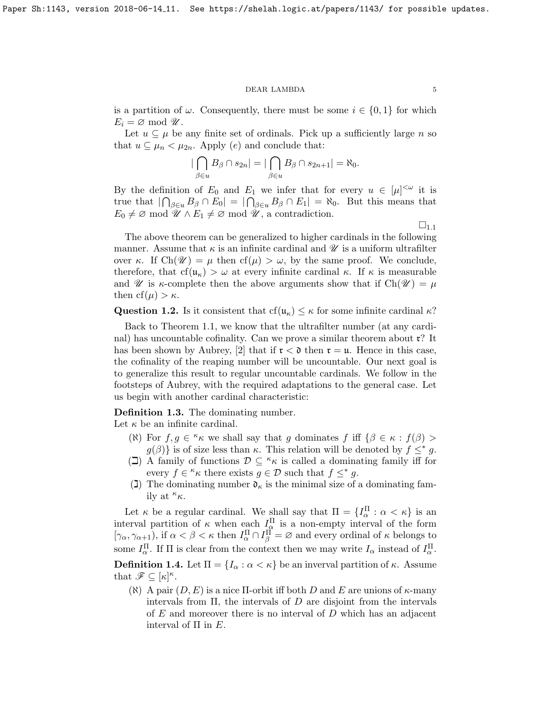is a partition of  $\omega$ . Consequently, there must be some  $i \in \{0,1\}$  for which  $E_i = \varnothing$  mod  $\mathscr{U}.$ 

Let  $u \subseteq \mu$  be any finite set of ordinals. Pick up a sufficiently large n so that  $u \subseteq \mu_n < \mu_{2n}$ . Apply (e) and conclude that:

$$
\left|\bigcap_{\beta\in u}B_{\beta}\cap s_{2n}\right|=\left|\bigcap_{\beta\in u}B_{\beta}\cap s_{2n+1}\right|=\aleph_0.
$$

By the definition of  $E_0$  and  $E_1$  we infer that for every  $u \in [\mu]^{<\omega}$  it is true that  $|\bigcap_{\beta \in u} B_{\beta} \cap E_0| = |\bigcap_{\beta \in u} B_{\beta} \cap E_1| = \aleph_0$ . But this means that  $E_0 \neq \emptyset \mod \mathscr{U} \wedge E_1 \neq \emptyset \mod \mathscr{U}$ , a contradiction.

 $\square_{1.1}$  $\square_{1.1}$  $\square_{1.1}$ 

The above theorem can be generalized to higher cardinals in the following manner. Assume that  $\kappa$  is an infinite cardinal and  $\mathscr U$  is a uniform ultrafilter over κ. If  $\text{Ch}(\mathcal{U}) = \mu$  then  $\text{cf}(\mu) > \omega$ , by the same proof. We conclude, therefore, that  $cf(u_{\kappa}) > \omega$  at every infinite cardinal  $\kappa$ . If  $\kappa$  is measurable and W is  $\kappa$ -complete then the above arguments show that if  $Ch(\mathcal{U}) = \mu$ then  $cf(\mu) > \kappa$ .

**Question 1.2.** Is it consistent that cf( $u_{\kappa}$ )  $\leq \kappa$  for some infinite cardinal  $\kappa$ ?

Back to Theorem [1.1,](#page-3-0) we know that the ultrafilter number (at any cardinal) has uncountable cofinality. Can we prove a similar theorem about  $\mathfrak{r}$ ? It has been shown by Aubrey, [\[2\]](#page-14-6) that if  $\mathfrak{r} < \mathfrak{d}$  then  $\mathfrak{r} = \mathfrak{u}$ . Hence in this case, the cofinality of the reaping number will be uncountable. Our next goal is to generalize this result to regular uncountable cardinals. We follow in the footsteps of Aubrey, with the required adaptations to the general case. Let us begin with another cardinal characteristic:

<span id="page-4-0"></span>Definition 1.3. The dominating number.

Let  $\kappa$  be an infinite cardinal.

- ( $\aleph$ ) For  $f, g \in \kappa \kappa$  we shall say that g dominates f iff  $\{\beta \in \kappa : f(\beta) > \kappa\}$  $g(\beta)$  is of size less than  $\kappa$ . This relation will be denoted by  $f \leq^* g$ .
- $(\Box)$  A family of functions  $\mathcal{D} \subseteq \kappa$  is called a dominating family iff for every  $f \in \kappa \kappa$  there exists  $g \in \mathcal{D}$  such that  $f \leq^* g$ .
- (I) The dominating number  $\mathfrak{d}_{\kappa}$  is the minimal size of a dominating family at  $\kappa_{\kappa}$ .

Let  $\kappa$  be a regular cardinal. We shall say that  $\Pi = \{I_{\alpha}^{\Pi} : \alpha < \kappa\}$  is an interval partition of  $\kappa$  when each  $I_{\alpha}^{\Pi}$  is a non-empty interval of the form  $[\gamma_{\alpha}, \gamma_{\alpha+1}]$ , if  $\alpha < \beta < \kappa$  then  $I_{\alpha}^{\Pi} \cap I_{\beta}^{\Pi} = \varnothing$  and every ordinal of  $\kappa$  belongs to some  $I_{\alpha}^{\Pi}$ . If  $\Pi$  is clear from the context then we may write  $I_{\alpha}$  instead of  $I_{\alpha}^{\Pi}$ . **Definition 1.4.** Let  $\Pi = \{I_\alpha : \alpha < \kappa\}$  be an inverval partition of  $\kappa$ . Assume

that  $\mathscr{F} \subseteq [\kappa]^{\kappa}$ .

( $\aleph$ ) A pair  $(D, E)$  is a nice II-orbit iff both D and E are unions of  $\kappa$ -many intervals from  $\Pi$ , the intervals of D are disjoint from the intervals of  $E$  and moreover there is no interval of  $D$  which has an adjacent interval of  $\Pi$  in  $E$ .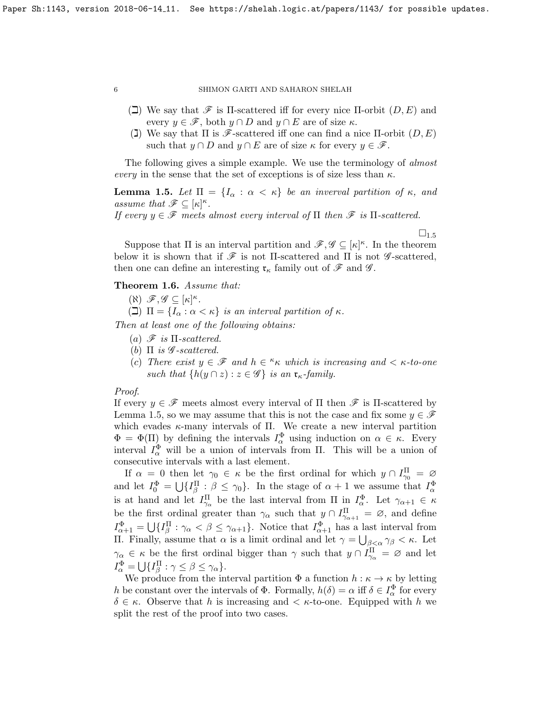- $(\Box)$  We say that  $\mathscr F$  is  $\Pi$ -scattered iff for every nice  $\Pi$ -orbit  $(D, E)$  and every  $y \in \mathscr{F}$ , both  $y \cap D$  and  $y \cap E$  are of size  $\kappa$ .
- (I) We say that  $\Pi$  is  $\mathscr{F}$ -scattered iff one can find a nice  $\Pi$ -orbit  $(D, E)$ such that  $y \cap D$  and  $y \cap E$  are of size  $\kappa$  for every  $y \in \mathscr{F}$ .

The following gives a simple example. We use the terminology of *almost* every in the sense that the set of exceptions is of size less than  $\kappa$ .

<span id="page-5-0"></span>**Lemma 1.5.** Let  $\Pi = \{I_\alpha : \alpha < \kappa\}$  be an inverval partition of  $\kappa$ , and assume that  $\mathscr{F} \subseteq [\kappa]^{\kappa}$ .

If every  $y \in \mathscr{F}$  meets almost every interval of  $\Pi$  then  $\mathscr{F}$  is  $\Pi$ -scattered.

 $\square_{1.5}$  $\square_{1.5}$  $\square_{1.5}$ 

Suppose that  $\Pi$  is an interval partition and  $\mathscr{F}, \mathscr{G} \subseteq [\kappa]^{\kappa}$ . In the theorem below it is shown that if  $\mathscr F$  is not II-scattered and II is not  $\mathscr G$ -scattered, then one can define an interesting  $\mathfrak{r}_{\kappa}$  family out of  $\mathscr{F}$  and  $\mathscr{G}$ .

## <span id="page-5-1"></span>Theorem 1.6. Assume that:

 $(\aleph) \mathscr{F}, \mathscr{G} \subseteq [\kappa]^{\kappa}.$ 

( $\Box$ )  $\Pi = \{I_{\alpha} : \alpha < \kappa\}$  is an interval partition of  $\kappa$ .

Then at least one of the following obtains:

- (a)  $\mathscr{F}$  is  $\Pi$ -scattered.
- (b)  $\Pi$  is  $\mathscr G$ -scattered.
- (c) There exist  $y \in \mathscr{F}$  and  $h \in \kappa \kappa$  which is increasing and  $\lt \kappa$ -to-one such that  $\{h(y \cap z) : z \in \mathscr{G}\}\$ is an  $\mathfrak{r}_{\kappa}$ -family.

## Proof.

If every  $y \in \mathscr{F}$  meets almost every interval of  $\Pi$  then  $\mathscr{F}$  is  $\Pi$ -scattered by Lemma [1.5,](#page-5-0) so we may assume that this is not the case and fix some  $y \in \mathscr{F}$ which evades  $\kappa$ -many intervals of Π. We create a new interval partition  $\Phi = \Phi(\Pi)$  by defining the intervals  $I_{\alpha}^{\Phi}$  using induction on  $\alpha \in \kappa$ . Every interval  $I_{\alpha}^{\Phi}$  will be a union of intervals from  $\Pi$ . This will be a union of consecutive intervals with a last element.

If  $\alpha = 0$  then let  $\gamma_0 \in \kappa$  be the first ordinal for which  $y \cap I_{\gamma_0}^{\Pi} = \varnothing$ and let  $I_0^{\Phi} = \bigcup \{I_{\beta}^{\Pi} : \beta \leq \gamma_0\}$ . In the stage of  $\alpha + 1$  we assume that  $I_{\alpha}^{\Phi}$ is at hand and let  $I_{\gamma_\alpha}^{\Pi}$  be the last interval from  $\Pi$  in  $I_{\alpha}^{\Phi}$ . Let  $\gamma_{\alpha+1} \in \kappa$ be the first ordinal greater than  $\gamma_{\alpha}$  such that  $y \cap I_{\gamma_{\alpha+1}}^{\Pi} = \emptyset$ , and define  $I_{\alpha+1}^{\Phi} = \bigcup \{ I_{\beta}^{\Pi} : \gamma_{\alpha} < \beta \leq \gamma_{\alpha+1} \}.$  Notice that  $I_{\alpha+1}^{\Phi}$  has a last interval from Π. Finally, assume that  $\alpha$  is a limit ordinal and let  $\gamma = \bigcup_{\beta < \alpha} \gamma_{\beta} < \kappa$ . Let  $\gamma_{\alpha} \in \kappa$  be the first ordinal bigger than  $\gamma$  such that  $y \cap I_{\gamma_{\alpha}}^{\Pi} = \varnothing$  and let  $I_{\alpha}^{\Phi} = \bigcup \{ I_{\beta}^{\Pi} : \gamma \leq \beta \leq \gamma_{\alpha} \}.$ 

We produce from the interval partition  $\Phi$  a function  $h : \kappa \to \kappa$  by letting h be constant over the intervals of  $\Phi$ . Formally,  $h(\delta) = \alpha$  iff  $\delta \in I_{\alpha}^{\Phi}$  for every  $\delta \in \kappa$ . Observe that h is increasing and  $\lt \kappa$ -to-one. Equipped with h we split the rest of the proof into two cases.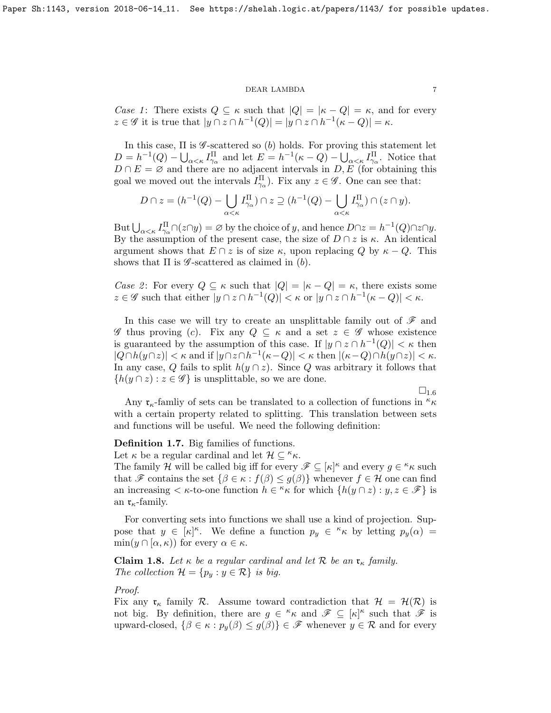Case 1: There exists  $Q \subseteq \kappa$  such that  $|Q| = |\kappa - Q| = \kappa$ , and for every  $z \in \mathscr{G}$  it is true that  $|y \cap z \cap h^{-1}(Q)| = |y \cap z \cap h^{-1}(\kappa - Q)| = \kappa$ .

In this case,  $\Pi$  is  $\mathscr G$ -scattered so (b) holds. For proving this statement let  $D = h^{-1}(Q) - \bigcup_{\alpha < \kappa} I_{\gamma_\alpha}^{\Pi}$  and let  $E = h^{-1}(\kappa - Q) - \bigcup_{\alpha < \kappa} I_{\gamma_\alpha}^{\Pi}$ . Notice that  $D \cap E = \emptyset$  and there are no adjacent intervals in  $D, E$  (for obtaining this goal we moved out the intervals  $I_{\gamma_\alpha}^{\Pi}$ . Fix any  $z \in \mathscr{G}$ . One can see that:

$$
D \cap z = (h^{-1}(Q) - \bigcup_{\alpha < \kappa} I_{\gamma_\alpha}^{\Pi}) \cap z \supseteq (h^{-1}(Q) - \bigcup_{\alpha < \kappa} I_{\gamma_\alpha}^{\Pi}) \cap (z \cap y).
$$

But  $\bigcup_{\alpha<\kappa}I_{\gamma_\alpha}^{\Pi}\cap(z\cap y)=\varnothing$  by the choice of y, and hence  $D\cap z=h^{-1}(Q)\cap z\cap y$ . By the assumption of the present case, the size of  $D \cap z$  is  $\kappa$ . An identical argument shows that  $E \cap z$  is of size  $\kappa$ , upon replacing Q by  $\kappa - Q$ . This shows that  $\Pi$  is  $\mathscr G$ -scattered as claimed in (b).

Case 2: For every  $Q \subseteq \kappa$  such that  $|Q| = |\kappa - Q| = \kappa$ , there exists some  $z \in \mathscr{G}$  such that either  $|y \cap z \cap h^{-1}(Q)| < \kappa$  or  $|y \cap z \cap h^{-1}(\kappa - Q)| < \kappa$ .

In this case we will try to create an unsplittable family out of  $\mathscr F$  and  $\mathscr G$  thus proving (c). Fix any  $Q \subseteq \kappa$  and a set  $z \in \mathscr G$  whose existence is guaranteed by the assumption of this case. If  $|y \cap z \cap h^{-1}(Q)| < \kappa$  then  $|Q \cap h(y \cap z)| < \kappa$  and if  $|y \cap z \cap h^{-1}(\kappa - Q)| < \kappa$  then  $|(\kappa - Q) \cap h(y \cap z)| < \kappa$ . In any case, Q fails to split  $h(y \cap z)$ . Since Q was arbitrary it follows that  ${h(y \cap z) : z \in \mathscr{G}}$  is unsplittable, so we are done.

 $\square_{1.6}$  $\square_{1.6}$  $\square_{1.6}$ 

Any  $\mathfrak{r}_{\kappa}$ -famliy of sets can be translated to a collection of functions in  $\kappa$ with a certain property related to splitting. This translation between sets and functions will be useful. We need the following definition:

## Definition 1.7. Big families of functions.

Let  $\kappa$  be a regular cardinal and let  $\mathcal{H} \subseteq \kappa_{\kappa}$ .

The family H will be called big iff for every  $\mathscr{F} \subseteq [\kappa]^{\kappa}$  and every  $g \in \kappa_{\kappa}$  such that F contains the set  $\{\beta \in \kappa : f(\beta) \leq g(\beta)\}\$  whenever  $f \in \mathcal{H}$  one can find an increasing  $\lt \kappa$ -to-one function  $h \in \kappa \kappa$  for which  $\{h(y \cap z) : y, z \in \mathscr{F}\}\)$  is an  $\mathfrak{r}_{\kappa}$ -family.

For converting sets into functions we shall use a kind of projection. Suppose that  $y \in [\kappa]^\kappa$ . We define a function  $p_y \in \kappa$  by letting  $p_y(\alpha) =$  $\min(y \cap [\alpha, \kappa))$  for every  $\alpha \in \kappa$ .

<span id="page-6-0"></span>**Claim 1.8.** Let  $\kappa$  be a regular cardinal and let  $\mathcal{R}$  be an  $\mathfrak{r}_{\kappa}$  family. The collection  $\mathcal{H} = \{p_y : y \in \mathcal{R}\}\$ is big.

## Proof.

Fix any  $\mathfrak{r}_{\kappa}$  family R. Assume toward contradiction that  $\mathcal{H} = \mathcal{H}(\mathcal{R})$  is not big. By definition, there are  $g \in \kappa \kappa$  and  $\mathscr{F} \subseteq [\kappa]^\kappa$  such that  $\mathscr{F}$  is upward-closed,  $\{\beta \in \kappa : p_y(\beta) \leq g(\beta)\}\in \mathscr{F}$  whenever  $y \in \mathcal{R}$  and for every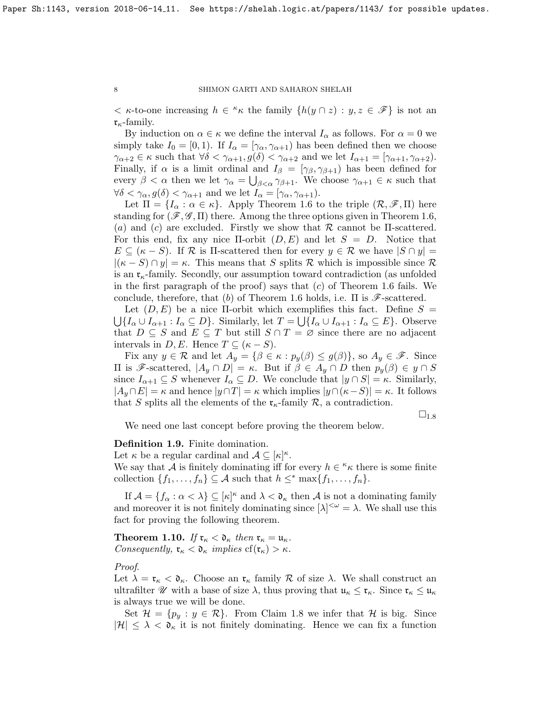$\langle \kappa$ -to-one increasing  $h \in \kappa$  the family  $\{h(y \cap z) : y, z \in \mathscr{F}\}\$ is not an  $\mathfrak{r}_{\kappa}$ -family.

By induction on  $\alpha \in \kappa$  we define the interval  $I_{\alpha}$  as follows. For  $\alpha = 0$  we simply take  $I_0 = [0, 1)$ . If  $I_\alpha = [\gamma_\alpha, \gamma_{\alpha+1})$  has been defined then we choose  $\gamma_{\alpha+2} \in \kappa$  such that  $\forall \delta < \gamma_{\alpha+1}, g(\delta) < \gamma_{\alpha+2}$  and we let  $I_{\alpha+1} = [\gamma_{\alpha+1}, \gamma_{\alpha+2}).$ Finally, if  $\alpha$  is a limit ordinal and  $I_{\beta} = [\gamma_{\beta}, \gamma_{\beta+1}]$  has been defined for every  $\beta < \alpha$  then we let  $\gamma_{\alpha} = \bigcup_{\beta < \alpha} \gamma_{\beta+1}$ . We choose  $\gamma_{\alpha+1} \in \kappa$  such that  $\forall \delta < \gamma_{\alpha}, g(\delta) < \gamma_{\alpha+1}$  and we let  $I_{\alpha} = [\gamma_{\alpha}, \gamma_{\alpha+1}).$ 

Let  $\Pi = \{I_\alpha : \alpha \in \kappa\}$ . Apply Theorem [1.6](#page-5-1) to the triple  $(\mathcal{R}, \mathcal{F}, \Pi)$  here standing for  $(\mathcal{F}, \mathcal{G}, \Pi)$  there. Among the three options given in Theorem [1.6,](#page-5-1) (a) and (c) are excluded. Firstly we show that  $\mathcal R$  cannot be II-scattered. For this end, fix any nice  $\Pi$ -orbit  $(D, E)$  and let  $S = D$ . Notice that  $E \subseteq (\kappa - S)$ . If R is II-scattered then for every  $y \in \mathcal{R}$  we have  $|S \cap y| =$  $|(\kappa - S) \cap y| = \kappa$ . This means that S splits R which is impossible since R is an  $\mathfrak{r}_{\kappa}$ -family. Secondly, our assumption toward contradiction (as unfolded in the first paragraph of the proof) says that  $(c)$  of Theorem [1.6](#page-5-1) fails. We conclude, therefore, that (b) of Theorem [1.6](#page-5-1) holds, i.e.  $\Pi$  is  $\mathscr{F}\text{-scattered.}$ 

Let  $(D, E)$  be a nice II-orbit which exemplifies this fact. Define  $S =$  $\bigcup \{I_\alpha \cup I_{\alpha+1} : I_\alpha \subseteq D\}$ . Similarly, let  $T = \bigcup \{I_\alpha \cup I_{\alpha+1} : I_\alpha \subseteq E\}$ . Observe that  $D \subseteq S$  and  $E \subseteq T$  but still  $S \cap T = \emptyset$  since there are no adjacent intervals in  $D, E$ . Hence  $T \subseteq (\kappa - S)$ .

Fix any  $y \in \mathcal{R}$  and let  $A_y = \{\beta \in \kappa : p_y(\beta) \le g(\beta)\}\)$ , so  $A_y \in \mathscr{F}$ . Since  $\Pi$  is *F*-scattered,  $|A_y \cap D| = \kappa$ . But if  $\beta \in A_y \cap D$  then  $p_y(\beta) \in y \cap S$ since  $I_{\alpha+1} \subseteq S$  whenever  $I_{\alpha} \subseteq D$ . We conclude that  $|y \cap S| = \kappa$ . Similarly,  $|A_y \cap E| = \kappa$  and hence  $|y \cap T| = \kappa$  which implies  $|y \cap (\kappa - S)| = \kappa$ . It follows that S splits all the elements of the  $\mathfrak{r}_{\kappa}$ -family  $\mathcal{R}$ , a contradiction.

 $\square_{1.8}$  $\square_{1.8}$  $\square_{1.8}$ 

We need one last concept before proving the theorem below.

Definition 1.9. Finite domination.

Let  $\kappa$  be a regular cardinal and  $\mathcal{A} \subseteq [\kappa]^{\kappa}$ .

We say that A is finitely dominating iff for every  $h \in \kappa$  there is some finite collection  $\{f_1, \ldots, f_n\} \subseteq A$  such that  $h \leq^* \max\{f_1, \ldots, f_n\}.$ 

If  $\mathcal{A} = \{f_{\alpha} : \alpha < \lambda\} \subseteq [\kappa]^{\kappa}$  and  $\lambda < \mathfrak{d}_{\kappa}$  then  $\mathcal{A}$  is not a dominating family and moreover it is not finitely dominating since  $[\lambda]^{<\omega} = \lambda$ . We shall use this fact for proving the following theorem.

<span id="page-7-0"></span>**Theorem 1.10.** If  $\mathfrak{r}_{\kappa} < \mathfrak{d}_{\kappa}$  then  $\mathfrak{r}_{\kappa} = \mathfrak{u}_{\kappa}$ . Consequently,  $\mathfrak{r}_{\kappa} < \mathfrak{d}_{\kappa}$  implies  $cf(\mathfrak{r}_{\kappa}) > \kappa$ .

### Proof.

Let  $\lambda = \mathfrak{r}_{\kappa} < \mathfrak{d}_{\kappa}$ . Choose an  $\mathfrak{r}_{\kappa}$  family  $\mathcal R$  of size  $\lambda$ . We shall construct an ultrafilter  $\mathscr U$  with a base of size  $\lambda$ , thus proving that  $\mathfrak u_\kappa \leq \mathfrak r_\kappa$ . Since  $\mathfrak r_\kappa \leq \mathfrak u_\kappa$ is always true we will be done.

Set  $\mathcal{H} = \{p_u : y \in \mathcal{R}\}\$ . From Claim [1.8](#page-6-0) we infer that  $\mathcal{H}$  is big. Since  $|\mathcal{H}| \leq \lambda < \mathfrak{d}_{\kappa}$  it is not finitely dominating. Hence we can fix a function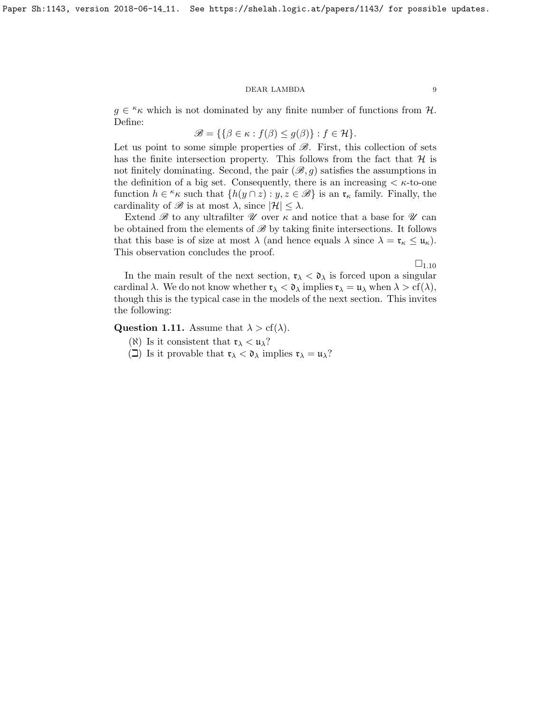$g \in \kappa$  which is not dominated by any finite number of functions from H. Define:

$$
\mathscr{B} = \{ \{ \beta \in \kappa : f(\beta) \le g(\beta) \} : f \in \mathcal{H} \}.
$$

Let us point to some simple properties of  $\mathscr{B}$ . First, this collection of sets has the finite intersection property. This follows from the fact that  $\mathcal{H}$  is not finitely dominating. Second, the pair  $(\mathscr{B}, q)$  satisfies the assumptions in the definition of a big set. Consequently, there is an increasing  $\lt \kappa$ -to-one function  $h \in \kappa \kappa$  such that  $\{h(y \cap z) : y, z \in \mathscr{B}\}\)$  is an  $\mathfrak{r}_{\kappa}$  family. Finally, the cardinality of  $\mathscr{B}$  is at most  $\lambda$ , since  $|\mathcal{H}| \leq \lambda$ .

Extend  $\mathscr B$  to any ultrafilter  $\mathscr U$  over  $\kappa$  and notice that a base for  $\mathscr U$  can be obtained from the elements of  $\mathscr{B}$  by taking finite intersections. It follows that this base is of size at most  $\lambda$  (and hence equals  $\lambda$  since  $\lambda = \mathfrak{r}_{\kappa} \leq \mathfrak{u}_{\kappa}$ ). This observation concludes the proof.

 $\square_{1.10}$  $\square_{1.10}$  $\square_{1.10}$ 

In the main result of the next section,  $\mathfrak{r}_{\lambda} < \mathfrak{d}_{\lambda}$  is forced upon a singular cardinal  $\lambda$ . We do not know whether  $\mathfrak{r}_{\lambda} < \mathfrak{d}_{\lambda}$  implies  $\mathfrak{r}_{\lambda} = \mathfrak{u}_{\lambda}$  when  $\lambda > \text{cf}(\lambda)$ , though this is the typical case in the models of the next section. This invites the following:

**Question 1.11.** Assume that  $\lambda > cf(\lambda)$ .

- ( $\aleph$ ) Is it consistent that  $\mathfrak{r}_{\lambda} < \mathfrak{u}_{\lambda}$ ?
- ( $\Box$ ) Is it provable that  $\mathfrak{r}_{\lambda} < \mathfrak{d}_{\lambda}$  implies  $\mathfrak{r}_{\lambda} = \mathfrak{u}_{\lambda}$ ?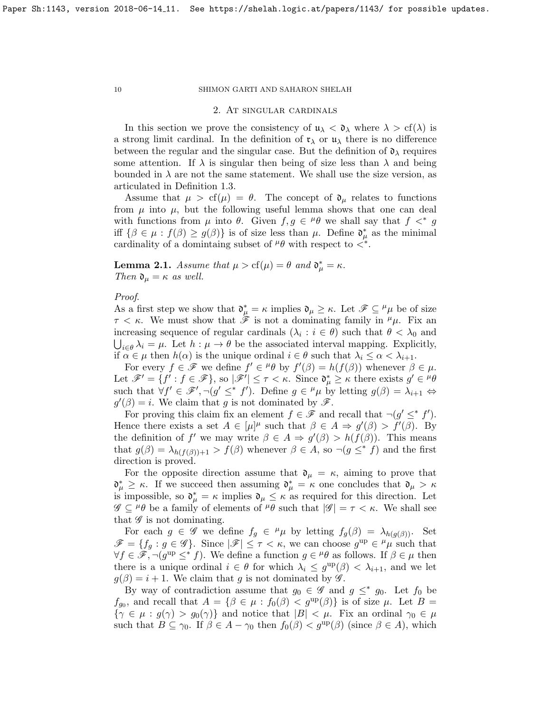### 2. At singular cardinals

In this section we prove the consistency of  $\mathfrak{u}_{\lambda} < \mathfrak{d}_{\lambda}$  where  $\lambda > cf(\lambda)$  is a strong limit cardinal. In the definition of  $\mathfrak{r}_{\lambda}$  or  $\mathfrak{u}_{\lambda}$  there is no difference between the regular and the singular case. But the definition of  $\mathfrak{d}_{\lambda}$  requires some attention. If  $\lambda$  is singular then being of size less than  $\lambda$  and being bounded in  $\lambda$  are not the same statement. We shall use the size version, as articulated in Definition [1.3.](#page-4-0)

Assume that  $\mu > cf(\mu) = \theta$ . The concept of  $\mathfrak{d}_{\mu}$  relates to functions from  $\mu$  into  $\mu$ , but the following useful lemma shows that one can deal with functions from  $\mu$  into  $\theta$ . Given  $f, g \in {}^{\mu} \theta$  we shall say that  $f \prec^* g$ iff  $\{\beta \in \mu : f(\beta) \ge g(\beta)\}\$ is of size less than  $\mu$ . Define  $\mathfrak{d}^*_{\mu}$  as the minimal cardinality of a domintaing subset of  $^{\mu}\theta$  with respect to  $\lt^*$ .

<span id="page-9-0"></span>**Lemma 2.1.** Assume that  $\mu > cf(\mu) = \theta$  and  $\mathfrak{d}^*_{\mu} = \kappa$ . Then  $\mathfrak{d}_{\mu} = \kappa$  as well.

## Proof.

As a first step we show that  $\mathfrak{d}^*_{\mu} = \kappa$  implies  $\mathfrak{d}_{\mu} \geq \kappa$ . Let  $\mathscr{F} \subseteq {}^{\mu} \mu$  be of size  $\tau < \kappa$ . We must show that  $\mathscr{F}$  is not a dominating family in  $^{\mu}\mu$ . Fix an increasing sequence of regular cardinals  $(\lambda_i : i \in \theta)$  such that  $\theta < \lambda_0$  and  $\bigcup_{i \in \theta} \lambda_i = \mu$ . Let  $h : \mu \to \theta$  be the associated interval mapping. Explicitly, if  $\alpha \in \mu$  then  $h(\alpha)$  is the unique ordinal  $i \in \theta$  such that  $\lambda_i \leq \alpha < \lambda_{i+1}$ .

For every  $f \in \mathscr{F}$  we define  $f' \in {}^{\mu} \theta$  by  $f'(\beta) = h(f(\beta))$  whenever  $\beta \in \mu$ . Let  $\mathscr{F}' = \{f' : f \in \mathscr{F}\}\$ , so  $|\mathscr{F}'| \leq \tau < \kappa$ . Since  $\mathfrak{d}_{\mu}^* \geq \kappa$  there exists  $g' \in {}^{\mu} \theta$ such that  $\forall f' \in \mathscr{F}', \neg(g' \leq^* f')$ . Define  $g \in {}^{\mu}\mu$  by letting  $g(\beta) = \lambda_{i+1} \Leftrightarrow$  $g'(\beta) = i$ . We claim that g is not dominated by  $\mathscr{F}$ .

For proving this claim fix an element  $f \in \mathscr{F}$  and recall that  $\neg(g' \leq^* f')$ . Hence there exists a set  $A \in [\mu]^{\mu}$  such that  $\beta \in A \Rightarrow g'(\beta) > f'(\beta)$ . By the definition of f' we may write  $\beta \in A \Rightarrow g'(\beta) > h(f(\beta))$ . This means that  $g(\beta) = \lambda_{h(f(\beta))+1} > f(\beta)$  whenever  $\beta \in A$ , so  $\neg(g \leq^* f)$  and the first direction is proved.

For the opposite direction assume that  $\mathfrak{d}_{\mu} = \kappa$ , aiming to prove that  $\mathfrak{d}_{\mu}^* \geq \kappa$ . If we succeed then assuming  $\mathfrak{d}_{\mu}^* = \kappa$  one concludes that  $\mathfrak{d}_{\mu} > \kappa$ is impossible, so  $\mathfrak{d}_{\mu}^* = \kappa$  implies  $\mathfrak{d}_{\mu} \leq \kappa$  as required for this direction. Let  $\mathscr{G} \subseteq H\theta$  be a family of elements of  $H\theta$  such that  $|\mathscr{G}| = \tau < \kappa$ . We shall see that  $\mathscr G$  is not dominating.

For each  $g \in \mathscr{G}$  we define  $f_g \in {}^{\mu}\mu$  by letting  $f_g(\beta) = \lambda_{h(g(\beta))}$ . Set  $\mathscr{F} = \{f_g : g \in \mathscr{G}\}\$ . Since  $|\mathscr{F}| \leq \tau < \kappa$ , we can choose  $g^{\text{up}} \in {}^{\mu}\mu$  such that  $\forall f \in \mathscr{F}, \neg(g^{\text{up}} \leq^* f)$ . We define a function  $g \in {}^{\mu} \theta$  as follows. If  $\beta \in \mu$  then there is a unique ordinal  $i \in \theta$  for which  $\lambda_i \leq g^{\text{up}}(\beta) < \lambda_{i+1}$ , and we let  $g(\beta) = i + 1$ . We claim that g is not dominated by  $\mathscr{G}$ .

By way of contradiction assume that  $g_0 \in \mathscr{G}$  and  $g \leq^* g_0$ . Let  $f_0$  be  $f_{g_0}$ , and recall that  $A = {\beta \in \mu : f_0(\beta) < g^{\text{up}}(\beta)}$  is of size  $\mu$ . Let  $B =$  $\{\gamma \in \mu : g(\gamma) > g_0(\gamma)\}\$ and notice that  $|B| < \mu$ . Fix an ordinal  $\gamma_0 \in \mu$ such that  $B \subseteq \gamma_0$ . If  $\beta \in A - \gamma_0$  then  $f_0(\beta) < g^{\text{up}}(\beta)$  (since  $\beta \in A$ ), which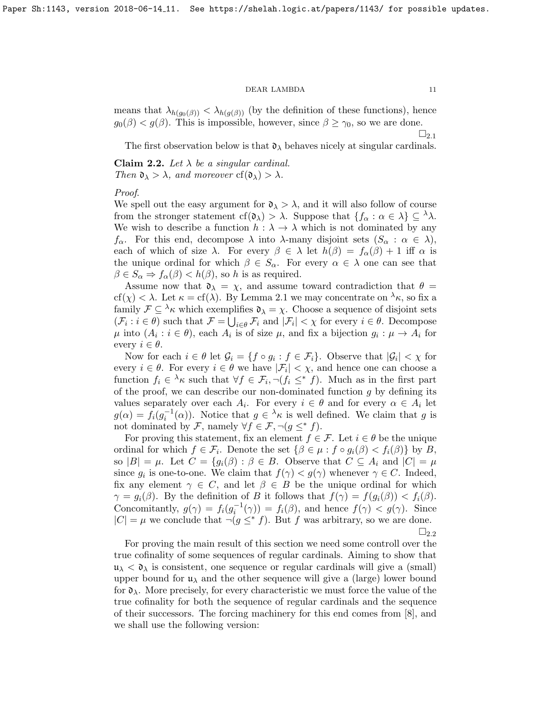means that  $\lambda_{h(g_0(\beta))} < \lambda_{h(g(\beta))}$  (by the definition of these functions), hence  $g_0(\beta) < g(\beta)$ . This is impossible, however, since  $\beta \geq \gamma_0$ , so we are done.

 $\sqcup_{2.1}$  $\sqcup_{2.1}$  $\sqcup_{2.1}$ 

The first observation below is that  $\mathfrak{d}_{\lambda}$  behaves nicely at singular cardinals.

<span id="page-10-0"></span>Claim 2.2. Let  $\lambda$  be a singular cardinal. Then  $\mathfrak{d}_{\lambda} > \lambda$ , and moreover cf( $\mathfrak{d}_{\lambda} > \lambda$ .

## Proof.

We spell out the easy argument for  $\mathfrak{d}_{\lambda} > \lambda$ , and it will also follow of course from the stronger statement cf( $\mathfrak{d}_{\lambda}$ ) >  $\lambda$ . Suppose that  $\{f_{\alpha} : \alpha \in \lambda\} \subseteq \lambda\lambda$ . We wish to describe a function  $h : \lambda \to \lambda$  which is not dominated by any  $f_{\alpha}$ . For this end, decompose  $\lambda$  into  $\lambda$ -many disjoint sets  $(S_{\alpha}: \alpha \in \lambda)$ , each of which of size  $\lambda$ . For every  $\beta \in \lambda$  let  $h(\beta) = f_{\alpha}(\beta) + 1$  iff  $\alpha$  is the unique ordinal for which  $\beta \in S_\alpha$ . For every  $\alpha \in \lambda$  one can see that  $\beta \in S_\alpha \Rightarrow f_\alpha(\beta) < h(\beta)$ , so h is as required.

Assume now that  $\mathfrak{d}_{\lambda} = \chi$ , and assume toward contradiction that  $\theta =$  $cf(\chi) < \lambda$ . Let  $\kappa = cf(\lambda)$ . By Lemma [2.1](#page-9-0) we may concentrate on  $\lambda_{\kappa}$ , so fix a family  $\mathcal{F} \subseteq {}^{\lambda}\kappa$  which exemplifies  $\mathfrak{d}_{\lambda} = \chi$ . Choose a sequence of disjoint sets  $(\mathcal{F}_i : i \in \theta)$  such that  $\mathcal{F} = \bigcup_{i \in \theta} \mathcal{F}_i$  and  $|\mathcal{F}_i| < \chi$  for every  $i \in \theta$ . Decompose  $\mu$  into  $(A_i : i \in \theta)$ , each  $A_i$  is of size  $\mu$ , and fix a bijection  $g_i : \mu \to A_i$  for every  $i \in \theta$ .

Now for each  $i \in \theta$  let  $\mathcal{G}_i = \{f \circ g_i : f \in \mathcal{F}_i\}$ . Observe that  $|\mathcal{G}_i| < \chi$  for every  $i \in \theta$ . For every  $i \in \theta$  we have  $|\mathcal{F}_i| < \chi$ , and hence one can choose a function  $f_i \in \lambda_K$  such that  $\forall f \in \mathcal{F}_i, \neg(f_i \leq^* f)$ . Much as in the first part of the proof, we can describe our non-dominated function  $q$  by defining its values separately over each  $A_i$ . For every  $i \in \theta$  and for every  $\alpha \in A_i$  let  $g(\alpha) = f_i(g_i^{-1}(\alpha))$ . Notice that  $g \in {}^{\lambda}\kappa$  is well defined. We claim that g is not dominated by F, namely  $\forall f \in \mathcal{F}, \neg (g \leq^* f)$ .

For proving this statement, fix an element  $f \in \mathcal{F}$ . Let  $i \in \theta$  be the unique ordinal for which  $f \in \mathcal{F}_i$ . Denote the set  $\{\beta \in \mu : f \circ g_i(\beta) < f_i(\beta)\}$  by B, so  $|B| = \mu$ . Let  $C = \{g_i(\beta) : \beta \in B$ . Observe that  $C \subseteq A_i$  and  $|C| = \mu$ since  $g_i$  is one-to-one. We claim that  $f(\gamma) < g(\gamma)$  whenever  $\gamma \in C$ . Indeed, fix any element  $\gamma \in C$ , and let  $\beta \in B$  be the unique ordinal for which  $\gamma = g_i(\beta)$ . By the definition of B it follows that  $f(\gamma) = f(g_i(\beta)) < f_i(\beta)$ . Concomitantly,  $g(\gamma) = f_i(g_i^{-1}(\gamma)) = f_i(\beta)$ , and hence  $f(\gamma) < g(\gamma)$ . Since  $|C| = \mu$  we conclude that  $\neg (g \leq^* f)$ . But f was arbitrary, so we are done.  $\square_{2.2}$  $\square_{2.2}$  $\square_{2.2}$ 

For proving the main result of this section we need some controll over the true cofinality of some sequences of regular cardinals. Aiming to show that  $\mu_{\lambda} < \mathfrak{d}_{\lambda}$  is consistent, one sequence or regular cardinals will give a (small) upper bound for  $\mu_{\lambda}$  and the other sequence will give a (large) lower bound for  $\mathfrak{d}_{\lambda}$ . More precisely, for every characteristic we must force the value of the true cofinality for both the sequence of regular cardinals and the sequence of their successors. The forcing machinery for this end comes from [\[8\]](#page-14-7), and we shall use the following version: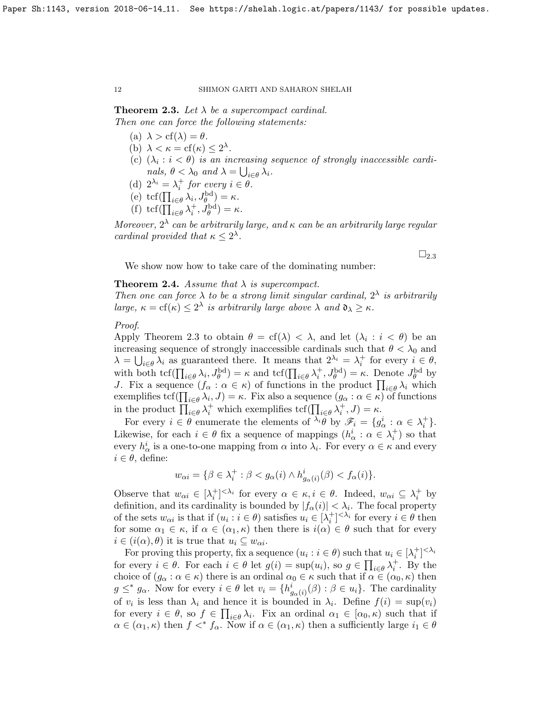<span id="page-11-0"></span>**Theorem 2.3.** Let  $\lambda$  be a supercompact cardinal. Then one can force the following statements:

- (a)  $\lambda > cf(\lambda) = \theta$ .
- (b)  $\lambda < \kappa = \text{cf}(\kappa) \leq 2^{\lambda}$ .
- (c)  $(\lambda_i : i < \theta)$  is an increasing sequence of strongly inaccessible cardinals,  $\theta < \lambda_0$  and  $\lambda = \bigcup_{i \in \theta} \lambda_i$ .
- (d)  $2^{\lambda_i} = \lambda_i^+$  for every  $i \in \theta$ .
- (e)  $\text{tcf}(\prod_{i\in\theta}\lambda_i, J_{\theta}^{\text{bd}}) = \kappa.$
- (f)  $\text{tcf}(\prod_{i\in\theta}\lambda_i^+, J_{\theta}^{\text{bd}}) = \kappa.$

Moreover,  $2^{\lambda}$  can be arbitrarily large, and  $\kappa$  can be an arbitrarily large regular cardinal provided that  $\kappa \leq 2^{\lambda}$ .

 $\square_{2.3}$  $\square_{2.3}$  $\square_{2.3}$ 

We show now how to take care of the dominating number:

## <span id="page-11-1"></span>**Theorem 2.4.** Assume that  $\lambda$  is supercompact.

Then one can force  $\lambda$  to be a strong limit singular cardinal,  $2^{\lambda}$  is arbitrarily large,  $\kappa = cf(\kappa) \leq 2^{\lambda}$  is arbitrarily large above  $\lambda$  and  $\mathfrak{d}_{\lambda} \geq \kappa$ .

## Proof.

Apply Theorem [2.3](#page-11-0) to obtain  $\theta = cf(\lambda) < \lambda$ , and let  $(\lambda_i : i < \theta)$  be an increasing sequence of strongly inaccessible cardinals such that  $\theta < \lambda_0$  and  $\lambda = \bigcup_{i \in \theta} \lambda_i$  as guaranteed there. It means that  $2^{\lambda_i} = \lambda_i^+$  for every  $i \in \theta$ , with both  $\text{tcf}(\prod_{i\in\theta}\lambda_i, J_{\theta}^{\text{bd}}) = \kappa$  and  $\text{tcf}(\prod_{i\in\theta}\lambda_i^+, J_{\theta}^{\text{bd}}) = \kappa$ . Denote  $J_{\theta}^{\text{bd}}$  by J. Fix a sequence  $(f_{\alpha}: \alpha \in \kappa)$  of functions in the product  $\prod_{i \in \theta} \lambda_i$  which exemplifies  $\text{tcf}(\prod_{i\in\theta}\lambda_i, J) = \kappa$ . Fix also a sequence  $(g_\alpha : \alpha \in \kappa)$  of functions in the product  $\prod_{i\in\theta}\lambda_i^+$  which exemplifies  $\text{tcf}(\prod_{i\in\theta}\lambda_i^+, J) = \kappa$ .

For every  $i \in \theta$  enumerate the elements of  $\lambda_i \theta$  by  $\mathscr{F}_i = \{g^i_\alpha : \alpha \in \lambda_i^+\}.$ Likewise, for each  $i \in \theta$  fix a sequence of mappings  $(h^i_\alpha : \alpha \in \lambda_i^+)$  so that every  $h^i_\alpha$  is a one-to-one mapping from  $\alpha$  into  $\lambda_i$ . For every  $\alpha \in \kappa$  and every  $i \in \theta$ , define:

$$
w_{\alpha i} = \{ \beta \in \lambda_i^+ : \beta < g_{\alpha}(i) \land h^i_{g_{\alpha}(i)}(\beta) < f_{\alpha}(i) \}.
$$

Observe that  $w_{\alpha i} \in [\lambda_i^+]^{<\lambda_i}$  for every  $\alpha \in \kappa, i \in \theta$ . Indeed,  $w_{\alpha i} \subseteq \lambda_i^+$  by definition, and its cardinality is bounded by  $|f_{\alpha}(i)| < \lambda_{i}$ . The focal property of the sets  $w_{\alpha i}$  is that if  $(u_i : i \in \theta)$  satisfies  $u_i \in [\lambda_i^+]^{<\lambda_i}$  for every  $i \in \theta$  then for some  $\alpha_1 \in \kappa$ , if  $\alpha \in (\alpha_1, \kappa)$  then there is  $i(\alpha) \in \theta$  such that for every  $i \in (i(\alpha), \theta)$  it is true that  $u_i \subseteq w_{\alpha i}$ .

For proving this property, fix a sequence  $(u_i : i \in \theta)$  such that  $u_i \in [\lambda_i^+]^{<\lambda_i}$ for every  $i \in \theta$ . For each  $i \in \theta$  let  $g(i) = \sup(u_i)$ , so  $g \in \prod_{i \in \theta} \lambda_i^+$ . By the choice of  $(g_\alpha : \alpha \in \kappa)$  there is an ordinal  $\alpha_0 \in \kappa$  such that if  $\alpha \in (\alpha_0, \kappa)$  then  $g \leq^* g_\alpha$ . Now for every  $i \in \theta$  let  $v_i = \{h^i_{g_\alpha(i)}(\beta) : \beta \in u_i\}$ . The cardinality of  $v_i$  is less than  $\lambda_i$  and hence it is bounded in  $\lambda_i$ . Define  $f(i) = \sup(v_i)$ for every  $i \in \theta$ , so  $f \in \prod_{i \in \theta} \lambda_i$ . Fix an ordinal  $\alpha_1 \in [\alpha_0, \kappa)$  such that if  $\alpha \in (\alpha_1, \kappa)$  then  $f \leq^* f_\alpha$ . Now if  $\alpha \in (\alpha_1, \kappa)$  then a sufficiently large  $i_1 \in \theta$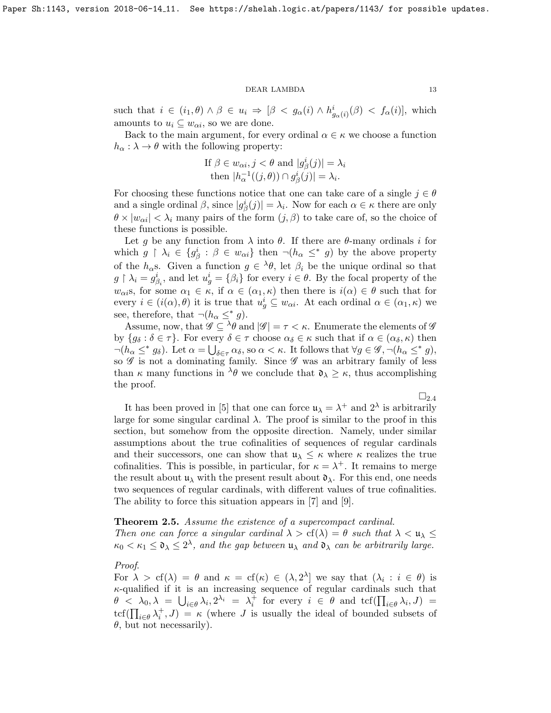such that  $i \in (i_1, \theta) \land \beta \in u_i \Rightarrow [\beta \le g_\alpha(i) \land h^i_{g_\alpha(i)}(\beta) \le f_\alpha(i)],$  which amounts to  $u_i \subseteq w_{\alpha i}$ , so we are done.

Back to the main argument, for every ordinal  $\alpha \in \kappa$  we choose a function  $h_{\alpha} : \lambda \to \theta$  with the following property:

If 
$$
\beta \in w_{\alpha i}, j < \theta
$$
 and  $|g_{\beta}^{i}(j)| = \lambda_{i}$   
then  $|h_{\alpha}^{-1}((j, \theta)) \cap g_{\beta}^{i}(j)| = \lambda_{i}$ .

For choosing these functions notice that one can take care of a single  $j \in \theta$ and a single ordinal  $\beta$ , since  $|g^i_\beta(j)| = \lambda_i$ . Now for each  $\alpha \in \kappa$  there are only  $\theta \times |w_{\alpha i}| < \lambda_i$  many pairs of the form  $(j, \beta)$  to take care of, so the choice of these functions is possible.

Let g be any function from  $\lambda$  into  $\theta$ . If there are  $\theta$ -many ordinals i for which  $g \restriction \lambda_i \in \{g_{\beta}^i : \beta \in w_{\alpha i}\}\$  then  $\neg(h_{\alpha} \leq^* g)$  by the above property of the  $h_{\alpha}$ s. Given a function  $g \in {}^{\lambda} \theta$ , let  $\beta_i$  be the unique ordinal so that  $g \restriction \lambda_i = g_{\beta_i}^i$ , and let  $u_g^i = \{\beta_i\}$  for every  $i \in \theta$ . By the focal property of the  $w_{\alpha i}$ s, for some  $\alpha_1 \in \kappa$ , if  $\alpha \in (\alpha_1, \kappa)$  then there is  $i(\alpha) \in \theta$  such that for every  $i \in (i(\alpha), \theta)$  it is true that  $u_g^i \subseteq w_{\alpha i}$ . At each ordinal  $\alpha \in (\alpha_1, \kappa)$  we see, therefore, that  $\neg(h_\alpha \leq^* g)$ .

Assume, now, that  $\mathscr{G} \subseteq {}^{\lambda} \theta$  and  $|\mathscr{G}| = \tau < \kappa$ . Enumerate the elements of  $\mathscr{G}$ by  ${g_\delta : \delta \in \tau}$ . For every  $\delta \in \tau$  choose  $\alpha_\delta \in \kappa$  such that if  $\alpha \in (\alpha_\delta, \kappa)$  then  $\neg(h_\alpha \leq^* g_\delta)$ . Let  $\alpha = \bigcup_{\delta \in \tau} \alpha_\delta$ , so  $\alpha < \kappa$ . It follows that  $\forall g \in \mathscr{G}, \neg(h_\alpha \leq^* g)$ , so  $\mathscr G$  is not a dominating family. Since  $\mathscr G$  was an arbitrary family of less than  $\kappa$  many functions in  $\lambda \theta$  we conclude that  $\mathfrak{d}_{\lambda} \geq \kappa$ , thus accomplishing the proof.

 $\sqcup_{2.4}$  $\sqcup_{2.4}$  $\sqcup_{2.4}$ It has been proved in [\[5\]](#page-14-8) that one can force  $\mathfrak{u}_{\lambda} = \lambda^{+}$  and  $2^{\lambda}$  is arbitrarily large for some singular cardinal  $\lambda$ . The proof is similar to the proof in this section, but somehow from the opposite direction. Namely, under similar assumptions about the true cofinalities of sequences of regular cardinals and their successors, one can show that  $u_{\lambda} \leq \kappa$  where  $\kappa$  realizes the true cofinalities. This is possible, in particular, for  $\kappa = \lambda^+$ . It remains to merge the result about  $\mathfrak{u}_{\lambda}$  with the present result about  $\mathfrak{d}_{\lambda}$ . For this end, one needs two sequences of regular cardinals, with different values of true cofinalities. The ability to force this situation appears in [\[7\]](#page-14-9) and [\[9\]](#page-14-10).

#### <span id="page-12-0"></span>**Theorem 2.5.** Assume the existence of a supercompact cardinal.

Then one can force a singular cardinal  $\lambda > cf(\lambda) = \theta$  such that  $\lambda < \mathfrak{u}_{\lambda} \leq$  $\kappa_0 < \kappa_1 \leq \mathfrak{d}_\lambda \leq 2^{\lambda}$ , and the gap between  $\mathfrak{u}_\lambda$  and  $\mathfrak{d}_\lambda$  can be arbitrarily large.

## Proof.

For  $\lambda > cf(\lambda) = \theta$  and  $\kappa = cf(\kappa) \in (\lambda, 2^{\lambda}]$  we say that  $(\lambda_i : i \in \theta)$  is  $\kappa$ -qualified if it is an increasing sequence of regular cardinals such that  $\theta \leq \lambda_0, \lambda = \bigcup_{i \in \theta} \lambda_i, 2^{\lambda_i} = \lambda_i^{\pm}$  for every  $i \in \theta$  and  $\text{tcf}(\prod_{i \in \theta} \lambda_i, J) =$  $\text{tcf}(\prod_{i\in\theta}\lambda_i^+,J) = \kappa$  (where J is usually the ideal of bounded subsets of  $\theta$ , but not necessarily).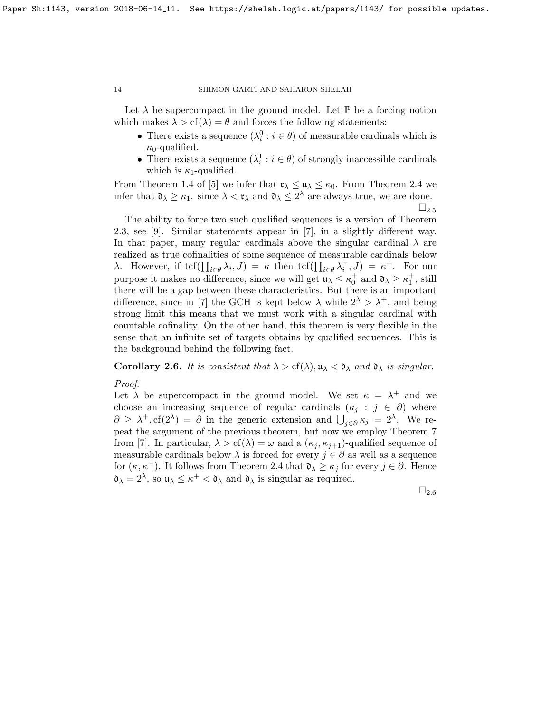Let  $\lambda$  be supercompact in the ground model. Let  $\mathbb P$  be a forcing notion which makes  $\lambda > cf(\lambda) = \theta$  and forces the following statements:

- There exists a sequence  $(\lambda_i^0 : i \in \theta)$  of measurable cardinals which is  $\kappa_0$ -qualified.
- There exists a sequence  $(\lambda_i^1 : i \in \theta)$  of strongly inaccessible cardinals which is  $\kappa_1$ -qualified.

From Theorem 1.4 of [\[5\]](#page-14-8) we infer that  $\mathfrak{r}_{\lambda} \leq \mathfrak{u}_{\lambda} \leq \kappa_0$ . From Theorem [2.4](#page-11-1) we infer that  $\mathfrak{d}_{\lambda} \geq \kappa_1$ . since  $\lambda < \mathfrak{r}_{\lambda}$  and  $\mathfrak{d}_{\lambda} \leq 2^{\lambda}$  are always true, we are done.  $\square_{2.5}$  $\square_{2.5}$  $\square_{2.5}$ 

The ability to force two such qualified sequences is a version of Theorem [2.3,](#page-11-0) see [\[9\]](#page-14-10). Similar statements appear in [\[7\]](#page-14-9), in a slightly different way. In that paper, many regular cardinals above the singular cardinal  $\lambda$  are realized as true cofinalities of some sequence of measurable cardinals below λ. However, if  $\text{tcf}(\prod_{i\in\theta}\lambda_i,J)=\kappa$  then  $\text{tcf}(\prod_{i\in\theta}\lambda_i^+,J)=\kappa^+$ . For our purpose it makes no difference, since we will get  $\mathfrak{u}_{\lambda} \leq \kappa_0^+$  and  $\mathfrak{d}_{\lambda} \geq \kappa_1^+$ , still there will be a gap between these characteristics. But there is an important difference, since in [\[7\]](#page-14-9) the GCH is kept below  $\lambda$  while  $2^{\lambda} > \lambda^{+}$ , and being strong limit this means that we must work with a singular cardinal with countable cofinality. On the other hand, this theorem is very flexible in the sense that an infinite set of targets obtains by qualified sequences. This is the background behind the following fact.

<span id="page-13-0"></span>Corollary 2.6. It is consistent that  $\lambda > cf(\lambda), \mu_{\lambda} < \mathfrak{d}_{\lambda}$  and  $\mathfrak{d}_{\lambda}$  is singular.

Proof.

Let  $\lambda$  be supercompact in the ground model. We set  $\kappa = \lambda^+$  and we choose an increasing sequence of regular cardinals  $(\kappa_i : j \in \partial)$  where  $\partial \geq \lambda^+, \text{cf}(2^{\lambda}) = \partial$  in the generic extension and  $\bigcup_{j\in\partial} \kappa_j = 2^{\lambda}$ . We repeat the argument of the previous theorem, but now we employ Theorem 7 from [\[7\]](#page-14-9). In particular,  $\lambda > cf(\lambda) = \omega$  and a  $(\kappa_i, \kappa_{i+1})$ -qualified sequence of measurable cardinals below  $\lambda$  is forced for every  $j \in \partial$  as well as a sequence for  $(\kappa, \kappa^+)$ . It follows from Theorem [2.4](#page-11-1) that  $\mathfrak{d}_{\lambda} \geq \kappa_j$  for every  $j \in \partial$ . Hence  $\mathfrak{d}_{\lambda} = 2^{\lambda}$ , so  $\mathfrak{u}_{\lambda} \leq \kappa^+ < \mathfrak{d}_{\lambda}$  and  $\mathfrak{d}_{\lambda}$  is singular as required.

 $\square_{2.6}$  $\square_{2.6}$  $\square_{2.6}$